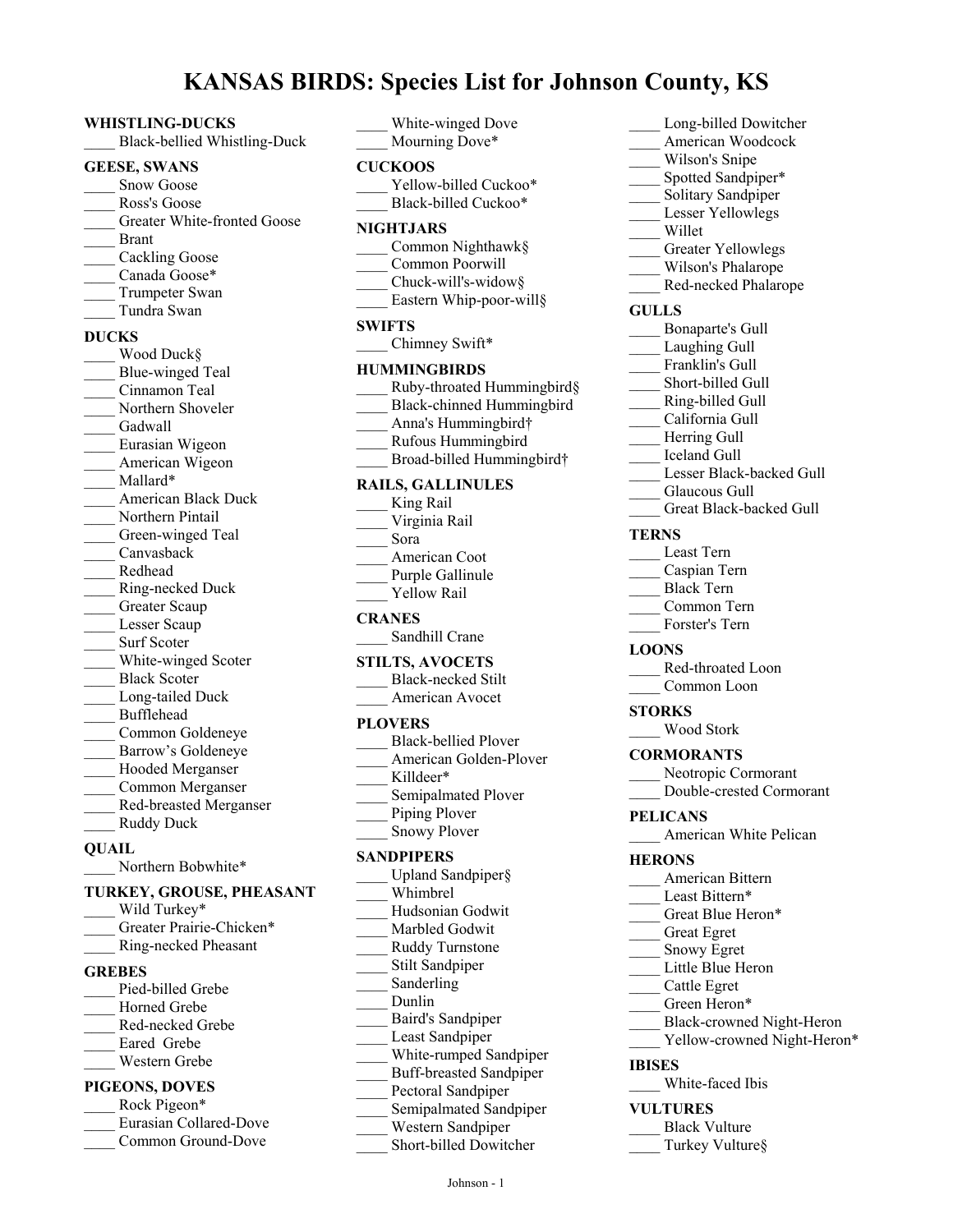# **KANSAS BIRDS: Species List for Johnson County, KS**

#### **WHISTLING-DUCKS**

\_\_\_\_ Black-bellied Whistling-Duck

#### **GEESE, SWANS**

- Snow Goose
- Ross's Goose
- Greater White-fronted Goose
- \_\_\_\_ Brant
- Cackling Goose
- Canada Goose\*
- Trumpeter Swan
- \_\_\_\_ Tundra Swan

#### **DUCKS**

Wood Duck§ Blue-winged Teal \_\_\_\_ Cinnamon Teal Northern Shoveler Gadwall \_\_\_\_ Eurasian Wigeon American Wigeon Mallard\* \_\_\_\_ American Black Duck Northern Pintail Green-winged Teal \_\_\_\_ Canvasback \_\_\_\_ Redhead \_\_\_\_ Ring-necked Duck Greater Scaup Lesser Scaup Surf Scoter White-winged Scoter Black Scoter Long-tailed Duck \_\_\_\_ Bufflehead \_\_\_\_ Common Goldeneye Barrow's Goldeneye Hooded Merganser \_\_\_\_ Common Merganser \_\_\_\_ Red-breasted Merganser Ruddy Duck

#### **QUAIL**

Northern Bobwhite\*

#### **TURKEY, GROUSE, PHEASANT**

- Wild Turkey\* Greater Prairie-Chicken\* \_\_\_\_ Ring-necked Pheasant **GREBES** Pied-billed Grebe Horned Grebe \_\_\_\_ Red-necked Grebe
- Eared Grebe \_\_\_\_ Western Grebe
- 

# **PIGEONS, DOVES**

Rock Pigeon\* \_\_\_\_ Eurasian Collared-Dove Common Ground-Dove

|               | White-winged Dove<br>Mourning Dove*                                                                                                                      |
|---------------|----------------------------------------------------------------------------------------------------------------------------------------------------------|
|               | <b>CUCKOOS</b><br>Yellow-billed Cuckoo*<br>Black-billed Cuckoo*                                                                                          |
|               | NIGHTJARS<br>Common Nighthawk§<br>Common Poorwill<br>Chuck-will's-widow§<br>Eastern Whip-poor-will§                                                      |
| <b>SWIFTS</b> | Chimney Swift*                                                                                                                                           |
|               | <b>HUMMINGBIRDS</b><br>Ruby-throated Hummingbird§<br>Black-chinned Hummingbird<br>Anna's Hummingbird†<br>Rufous Hummingbird<br>Broad-billed Hummingbird† |
|               | <b>RAILS, GALLINULES</b><br>King Rail<br>Virginia Rail<br>Sora<br>American Coot<br>Purple Gallinule<br>Yellow Rail                                       |
|               | <b>CRANES</b><br>Sandhill Crane                                                                                                                          |
|               | <b>STILTS, AVOCETS</b><br><b>Black-necked Stilt</b><br>American Avocet                                                                                   |
|               | <b>PLOVERS</b><br>Black-bellied Plover<br>American Golden-Plover<br>Killdeer*<br>Semipalmated Plover<br>Piping Plover<br><b>Snowy Plover</b>             |
|               | <b>SANDPIPERS</b><br>Upland Sandpiper§<br>$W1$ inclued                                                                                                   |

| Upland Sandpiper§       |
|-------------------------|
| Whimbrel                |
| Hudsonian Godwit        |
| Marbled Godwit          |
| Ruddy Turnstone         |
| Stilt Sandpiper         |
| Sanderling              |
| Dunlin                  |
| Baird's Sandpiper       |
| Least Sandpiper         |
| White-rumped Sandpiper  |
| Buff-breasted Sandpiper |
| Pectoral Sandpiper      |
| Semipalmated Sandpiper  |
| Western Sandpiper       |
| $\sim$ 1.11.1 m         |

#### **RAILS, GALLINULES**

| 1 LAZ V 15 IAN              |
|-----------------------------|
| <b>Black-bellied Plover</b> |
| American Golden-Plove       |
| Killdeer*                   |
| Semipalmated Plover         |
| Piping Plover               |
| <b>Snowy Plover</b>         |
| SANDPIPERS                  |
| Upland Sandpiper§           |
| Whimbrel                    |
| Hudsonian Godwit            |
| Marbled Godwit              |
| Ruddy Turnstone             |
| Stilt Sandpiper             |
|                             |

- 
- 
- 
- - \_\_\_\_ Short-billed Dowitcher
- Long-billed Dowitcher
- \_\_\_\_ American Woodcock
- Wilson's Snipe
- Spotted Sandpiper\*
- Solitary Sandpiper
- Lesser Yellowlegs
- \_\_\_\_ Willet
- Greater Yellowlegs
- Wilson's Phalarope
- Red-necked Phalarope

#### **GULLS**

- \_\_\_\_ Bonaparte's Gull
- Laughing Gull
- Franklin's Gull
- Short-billed Gull
- \_\_\_\_ Ring-billed Gull
- \_\_\_\_ California Gull
- Herring Gull
- \_\_\_\_ Iceland Gull
- Lesser Black-backed Gull
- Glaucous Gull
- Great Black-backed Gull

#### **TERNS**

- \_\_\_\_ Least Tern
- \_\_\_\_ Caspian Tern
- \_\_\_\_ Black Tern
- \_\_\_\_ Common Tern
- Forster's Tern

#### **LOONS**

Red-throated Loon Common Loon

#### **STORKS**

\_\_\_\_ Wood Stork

#### **CORMORANTS**

- Neotropic Cormorant
- \_\_\_\_ Double-crested Cormorant

#### **PELICANS**

American White Pelican

#### **HERONS**

- \_\_\_\_ American Bittern
- Least Bittern\*
- Great Blue Heron\*
	- \_\_\_\_ Great Egret
- \_\_\_\_ Snowy Egret
- Little Blue Heron
- \_\_\_\_ Cattle Egret
- Green Heron\*
- \_\_\_\_ Black-crowned Night-Heron
- Yellow-crowned Night-Heron\*

#### **IBISES**

\_\_\_\_ White-faced Ibis

# **VULTURES**

- Black Vulture
- Turkey Vulture§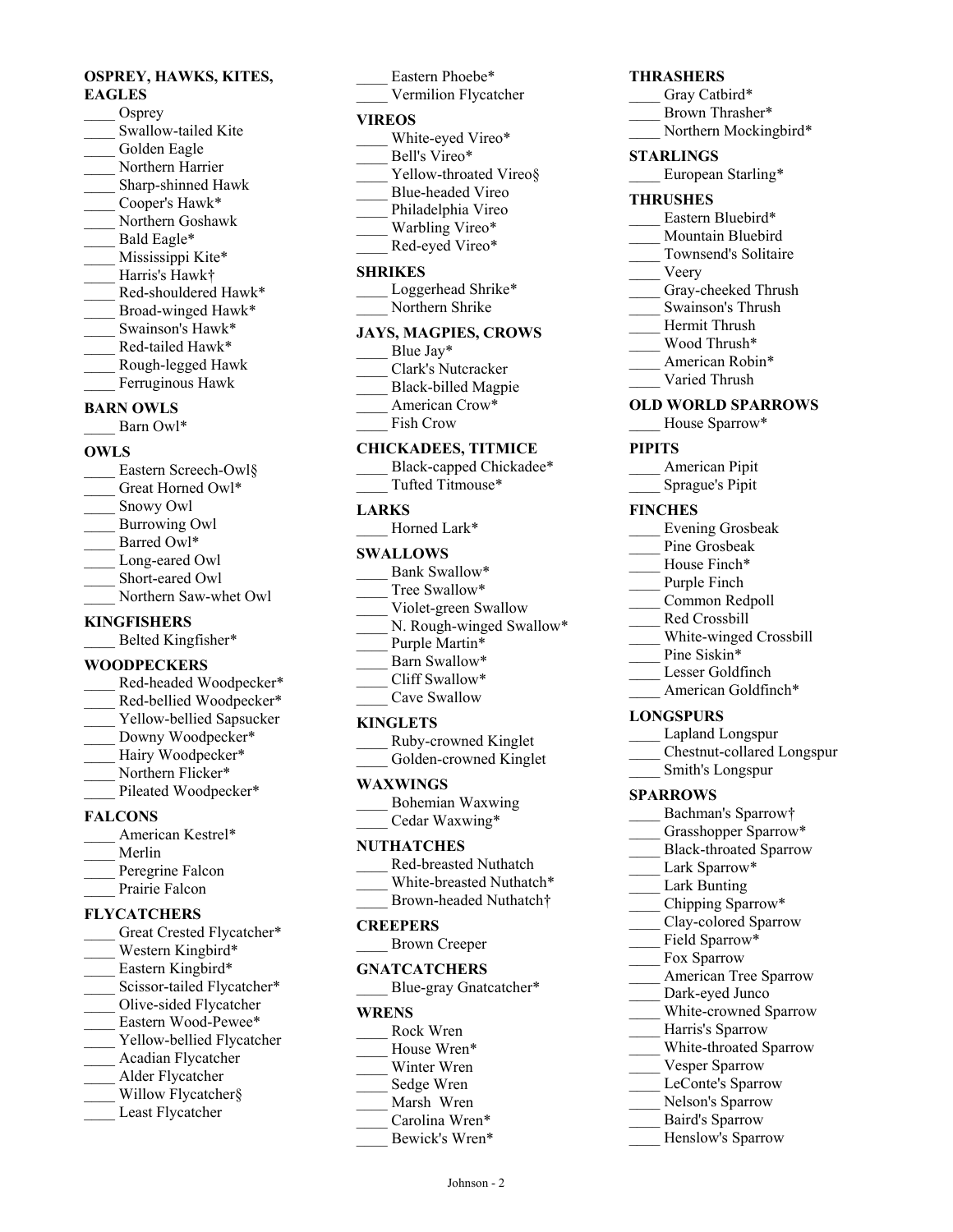# **OSPREY, HAWKS, KITES, EAGLES**

- Osprey Swallow-tailed Kite Golden Eagle Northern Harrier \_\_\_\_ Sharp-shinned Hawk Cooper's Hawk\* \_\_\_\_ Northern Goshawk Bald Eagle\* Mississippi Kite\* \_\_\_\_ Harris's Hawk† Red-shouldered Hawk\* Broad-winged Hawk\* Swainson's Hawk\* \_\_\_\_ Red-tailed Hawk\* \_\_\_\_ Rough-legged Hawk
- Ferruginous Hawk
- **BARN OWLS**
- Barn Owl\*

#### **OWLS**

- Eastern Screech-Owl§ Great Horned Owl\* \_\_\_\_ Snowy Owl
- \_\_\_\_ Burrowing Owl
- Barred Owl\*
- Long-eared Owl
- Short-eared Owl
- Northern Saw-whet Owl

# **KINGFISHERS**

Belted Kingfisher\*

# **WOODPECKERS**

- \_\_\_\_ Red-headed Woodpecker\*
- Red-bellied Woodpecker\* Yellow-bellied Sapsucker
- Downy Woodpecker\*
- Hairy Woodpecker\*
- Northern Flicker\*
- Pileated Woodpecker\*
- 

# **FALCONS**

| American Kestrel* |
|-------------------|
| Merlin            |
| Peregrine Falcon  |
| Prairie Falcon    |

# **FLYCATCHERS**

| Great Crested Flycatcher*  |
|----------------------------|
| Western Kingbird*          |
| Eastern Kingbird*          |
| Scissor-tailed Flycatcher* |
| Olive-sided Flycatcher     |
| Eastern Wood-Pewee*        |
| Yellow-bellied Flycatcher  |
| Acadian Flycatcher         |
| Alder Flycatcher           |
| Willow Flycatcher§         |
| Least Flycatcher           |

# Eastern Phoebe\* Vermilion Flycatcher **VIREOS** White-eyed Vireo\* Bell's Vireo\* Yellow-throated Vireo§ \_\_\_\_ Blue-headed Vireo Philadelphia Vireo

- Warbling Vireo\*
- Red-eyed Vireo\*

#### **SHRIKES**

Loggerhead Shrike\* Northern Shrike

# **JAYS, MAGPIES, CROWS**

- Blue Jay\*
- \_\_\_\_ Clark's Nutcracker
- \_\_\_\_ Black-billed Magpie American Crow\*
- \_\_\_\_ Fish Crow

#### **CHICKADEES, TITMICE**

- Black-capped Chickadee\*
- \_\_\_\_ Tufted Titmouse\*

#### **LARKS**

Horned Lark\*

#### **SWALLOWS**

| Bank Swallow*            |
|--------------------------|
| Tree Swallow*            |
| Violet-green Swallow     |
| N. Rough-winged Swallow* |
| Purple Martin*           |
| Barn Swallow*            |
| Cliff Swallow*           |

Cave Swallow

#### **KINGLETS**

| Ruby-crowned Kinglet   |
|------------------------|
| Golden-crowned Kinglet |

#### **WAXWINGS**

\_\_\_\_ Bohemian Waxwing \_\_\_\_ Cedar Waxwing\*

#### **NUTHATCHES**

| Red-breasted Nuthatch              |
|------------------------------------|
| White-breasted Nuthatch*           |
| Brown-headed Nuthatch <sup>+</sup> |

# **CREEPERS**

| <b>Brown Creeper</b> |  |
|----------------------|--|
|----------------------|--|

#### **GNATCATCHERS**

Blue-gray Gnatcatcher\*

#### **WRENS** \_\_\_\_ Rock Wren

- House Wren\*
- Winter Wren
- Sedge Wren
- Marsh Wren
- Carolina Wren\*
	- Bewick's Wren\*

Johnson - 2

# **THRASHERS**

- Gray Catbird\*
- Brown Thrasher\*
- Northern Mockingbird\*

## **STARLINGS**

European Starling\*

#### **THRUSHES**

- Eastern Bluebird\*
- Mountain Bluebird
- Townsend's Solitaire
- \_\_\_\_ Veery
- Gray-cheeked Thrush
- \_\_\_\_ Swainson's Thrush
- Hermit Thrush
- \_\_\_\_ Wood Thrush\*
- American Robin\*
- Varied Thrush

#### **OLD WORLD SPARROWS**

House Sparrow\*

## **PIPITS**

| American Pipit  |  |
|-----------------|--|
| Sprague's Pipit |  |

#### **FINCHES**

- \_\_\_\_ Evening Grosbeak
- Pine Grosbeak
- House Finch\*
- Purple Finch
- Common Redpoll
- \_\_\_\_ Red Crossbill
- \_\_\_\_ White-winged Crossbill
- Pine Siskin\*
- Lesser Goldfinch American Goldfinch\*

# **LONGSPURS**

- Lapland Longspur
- \_\_\_\_ Chestnut-collared Longspur
- \_\_\_\_ Smith's Longspur

# **SPARROWS**

- Bachman's Sparrow†
- Grasshopper Sparrow\*

Lark Bunting Chipping Sparrow\* Clay-colored Sparrow Field Sparrow\* Fox Sparrow

Black-throated Sparrow Lark Sparrow\*

> American Tree Sparrow Dark-eyed Junco White-crowned Sparrow

Harris's Sparrow White-throated Sparrow

Vesper Sparrow LeConte's Sparrow Nelson's Sparrow \_\_\_\_ Baird's Sparrow Henslow's Sparrow